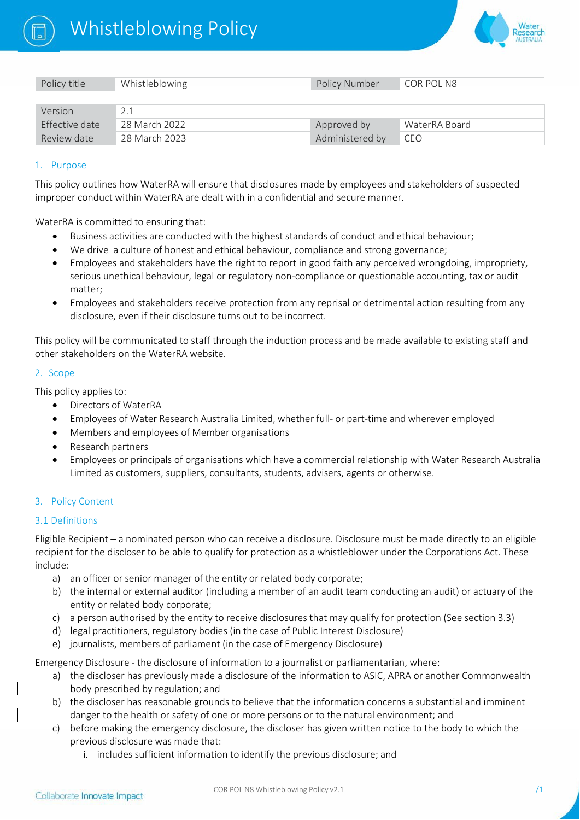



| Policy title   | Whistleblowing | <b>Policy Number</b> | COR POL N8    |
|----------------|----------------|----------------------|---------------|
|                |                |                      |               |
| Version        | 2.1            |                      |               |
| Effective date | 28 March 2022  | Approved by          | WaterRA Board |
| Review date    | 28 March 2023  | Administered by      | CEO           |

#### 1. Purpose

This policy outlines how WaterRA will ensure that disclosures made by employees and stakeholders of suspected improper conduct within WaterRA are dealt with in a confidential and secure manner.

WaterRA is committed to ensuring that:

- Business activities are conducted with the highest standards of conduct and ethical behaviour;
- We drive a culture of honest and ethical behaviour, compliance and strong governance;
- Employees and stakeholders have the right to report in good faith any perceived wrongdoing, impropriety, serious unethical behaviour, legal or regulatory non-compliance or questionable accounting, tax or audit matter;
- Employees and stakeholders receive protection from any reprisal or detrimental action resulting from any disclosure, even if their disclosure turns out to be incorrect.

This policy will be communicated to staff through the induction process and be made available to existing staff and other stakeholders on the WaterRA website.

#### 2. Scope

This policy applies to:

- Directors of WaterRA
- Employees of Water Research Australia Limited, whether full‐ or part‐time and wherever employed
- Members and employees of Member organisations
- Research partners
- Employees or principals of organisations which have a commercial relationship with Water Research Australia Limited as customers, suppliers, consultants, students, advisers, agents or otherwise.

## 3. Policy Content

#### 3.1 Definitions

Eligible Recipient – a nominated person who can receive a disclosure. Disclosure must be made directly to an eligible recipient for the discloser to be able to qualify for protection as a whistleblower under the Corporations Act. These include:

- a) an officer or senior manager of the entity or related body corporate;
- b) the internal or external auditor (including a member of an audit team conducting an audit) or actuary of the entity or related body corporate;
- c) a person authorised by the entity to receive disclosures that may qualify for protection (See section 3.3)
- d) legal practitioners, regulatory bodies (in the case of Public Interest Disclosure)
- e) journalists, members of parliament (in the case of Emergency Disclosure)

Emergency Disclosure ‐ the disclosure of information to a journalist or parliamentarian, where:

- a) the discloser has previously made a disclosure of the information to ASIC, APRA or another Commonwealth body prescribed by regulation; and
- b) the discloser has reasonable grounds to believe that the information concerns a substantial and imminent danger to the health or safety of one or more persons or to the natural environment; and
- c) before making the emergency disclosure, the discloser has given written notice to the body to which the previous disclosure was made that:
	- i. includes sufficient information to identify the previous disclosure; and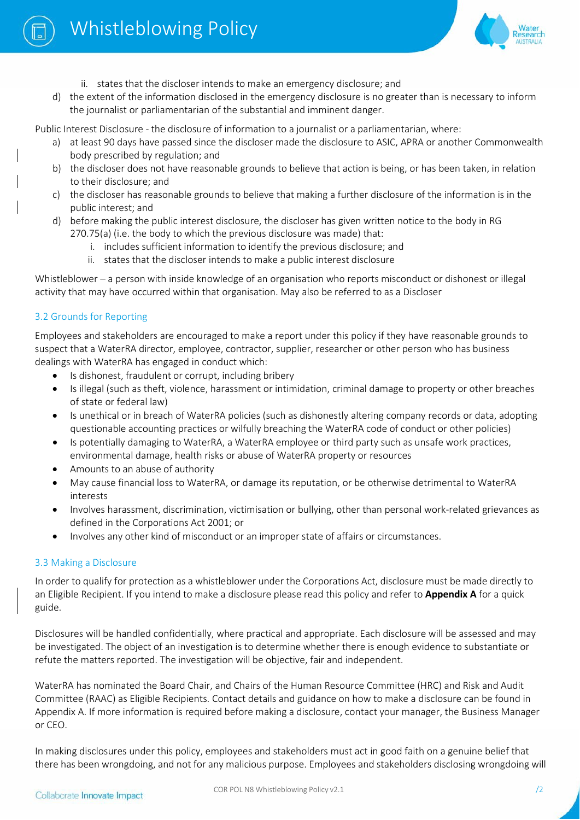



- ii. states that the discloser intends to make an emergency disclosure; and
- d) the extent of the information disclosed in the emergency disclosure is no greater than is necessary to inform the journalist or parliamentarian of the substantial and imminent danger.

Public Interest Disclosure ‐ the disclosure of information to a journalist or a parliamentarian, where:

- a) at least 90 days have passed since the discloser made the disclosure to ASIC, APRA or another Commonwealth body prescribed by regulation; and
- b) the discloser does not have reasonable grounds to believe that action is being, or has been taken, in relation to their disclosure; and
- c) the discloser has reasonable grounds to believe that making a further disclosure of the information is in the public interest; and
- d) before making the public interest disclosure, the discloser has given written notice to the body in RG 270.75(a) (i.e. the body to which the previous disclosure was made) that:
	- i. includes sufficient information to identify the previous disclosure; and
	- ii. states that the discloser intends to make a public interest disclosure

Whistleblower – a person with inside knowledge of an organisation who reports misconduct or dishonest or illegal activity that may have occurred within that organisation. May also be referred to as a Discloser

# 3.2 Grounds for Reporting

Employees and stakeholders are encouraged to make a report under this policy if they have reasonable grounds to suspect that a WaterRA director, employee, contractor, supplier, researcher or other person who has business dealings with WaterRA has engaged in conduct which:

- Is dishonest, fraudulent or corrupt, including bribery
- Is illegal (such as theft, violence, harassment or intimidation, criminal damage to property or other breaches of state or federal law)
- Is unethical or in breach of WaterRA policies (such as dishonestly altering company records or data, adopting questionable accounting practices or wilfully breaching the WaterRA code of conduct or other policies)
- Is potentially damaging to WaterRA, a WaterRA employee or third party such as unsafe work practices, environmental damage, health risks or abuse of WaterRA property or resources
- Amounts to an abuse of authority
- May cause financial loss to WaterRA, or damage its reputation, or be otherwise detrimental to WaterRA interests
- Involves harassment, discrimination, victimisation or bullying, other than personal work‐related grievances as defined in the Corporations Act 2001; or
- Involves any other kind of misconduct or an improper state of affairs or circumstances.

# 3.3 Making a Disclosure

In order to qualify for protection as a whistleblower under the Corporations Act, disclosure must be made directly to an Eligible Recipient. If you intend to make a disclosure please read this policy and refer to **[Appendix A](#page-6-0)** for a quick guide.

Disclosures will be handled confidentially, where practical and appropriate. Each disclosure will be assessed and may be investigated. The object of an investigation is to determine whether there is enough evidence to substantiate or refute the matters reported. The investigation will be objective, fair and independent.

WaterRA has nominated the Board Chair, and Chairs of the Human Resource Committee (HRC) and Risk and Audit Committee (RAAC) as Eligible Recipients. Contact details and guidance on how to make a disclosure can be found in Appendix A. If more information is required before making a disclosure, contact your manager, the Business Manager or CEO.

In making disclosures under this policy, employees and stakeholders must act in good faith on a genuine belief that there has been wrongdoing, and not for any malicious purpose. Employees and stakeholders disclosing wrongdoing will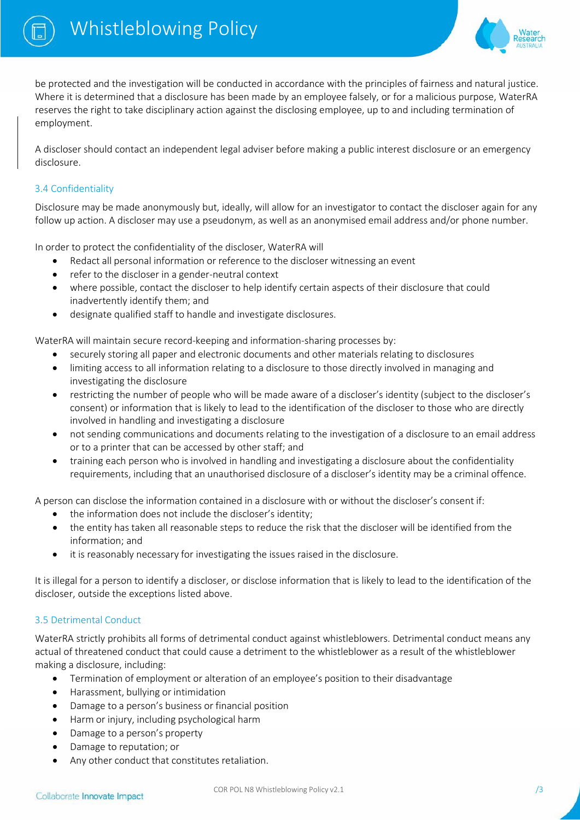



be protected and the investigation will be conducted in accordance with the principles of fairness and natural justice. Where it is determined that a disclosure has been made by an employee falsely, or for a malicious purpose, WaterRA reserves the right to take disciplinary action against the disclosing employee, up to and including termination of employment.

A discloser should contact an independent legal adviser before making a public interest disclosure or an emergency disclosure.

# 3.4 Confidentiality

Disclosure may be made anonymously but, ideally, will allow for an investigator to contact the discloser again for any follow up action. A discloser may use a pseudonym, as well as an anonymised email address and/or phone number.

In order to protect the confidentiality of the discloser, WaterRA will

- Redact all personal information or reference to the discloser witnessing an event
- refer to the discloser in a gender‐neutral context
- where possible, contact the discloser to help identify certain aspects of their disclosure that could inadvertently identify them; and
- designate qualified staff to handle and investigate disclosures.

WaterRA will maintain secure record‐keeping and information‐sharing processes by:

- securely storing all paper and electronic documents and other materials relating to disclosures
- limiting access to all information relating to a disclosure to those directly involved in managing and investigating the disclosure
- restricting the number of people who will be made aware of a discloser's identity (subject to the discloser's consent) or information that is likely to lead to the identification of the discloser to those who are directly involved in handling and investigating a disclosure
- not sending communications and documents relating to the investigation of a disclosure to an email address or to a printer that can be accessed by other staff; and
- training each person who is involved in handling and investigating a disclosure about the confidentiality requirements, including that an unauthorised disclosure of a discloser's identity may be a criminal offence.

A person can disclose the information contained in a disclosure with or without the discloser's consent if:

- the information does not include the discloser's identity;
- the entity has taken all reasonable steps to reduce the risk that the discloser will be identified from the information; and
- it is reasonably necessary for investigating the issues raised in the disclosure.

It is illegal for a person to identify a discloser, or disclose information that is likely to lead to the identification of the discloser, outside the exceptions listed above.

## 3.5 Detrimental Conduct

WaterRA strictly prohibits all forms of detrimental conduct against whistleblowers. Detrimental conduct means any actual of threatened conduct that could cause a detriment to the whistleblower as a result of the whistleblower making a disclosure, including:

- Termination of employment or alteration of an employee's position to their disadvantage
- Harassment, bullying or intimidation
- Damage to a person's business or financial position
- Harm or injury, including psychological harm
- Damage to a person's property
- Damage to reputation; or
- Any other conduct that constitutes retaliation.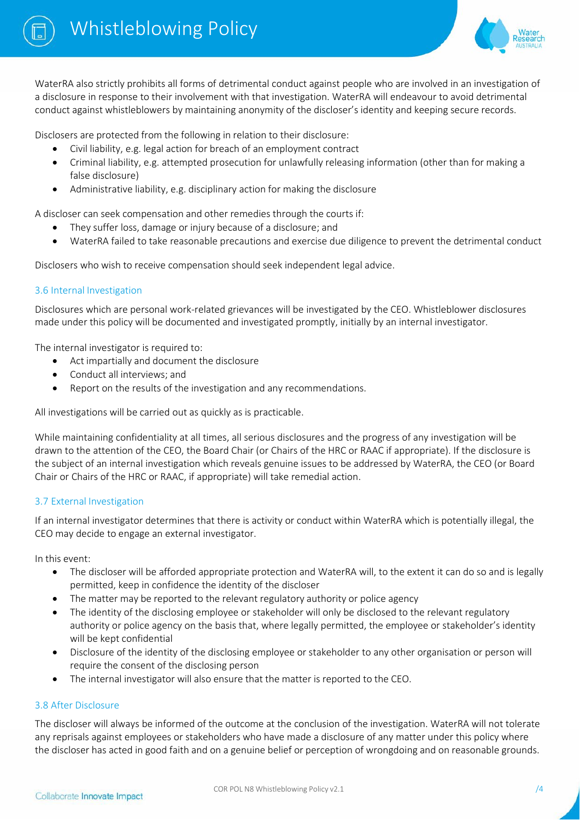



WaterRA also strictly prohibits all forms of detrimental conduct against people who are involved in an investigation of a disclosure in response to their involvement with that investigation. WaterRA will endeavour to avoid detrimental conduct against whistleblowers by maintaining anonymity of the discloser's identity and keeping secure records.

Disclosers are protected from the following in relation to their disclosure:

- Civil liability, e.g. legal action for breach of an employment contract
- Criminal liability, e.g. attempted prosecution for unlawfully releasing information (other than for making a false disclosure)
- Administrative liability, e.g. disciplinary action for making the disclosure

A discloser can seek compensation and other remedies through the courts if:

- They suffer loss, damage or injury because of a disclosure; and
- WaterRA failed to take reasonable precautions and exercise due diligence to prevent the detrimental conduct

Disclosers who wish to receive compensation should seek independent legal advice.

# 3.6 Internal Investigation

Disclosures which are personal work‐related grievances will be investigated by the CEO. Whistleblower disclosures made under this policy will be documented and investigated promptly, initially by an internal investigator.

The internal investigator is required to:

- Act impartially and document the disclosure
- Conduct all interviews; and
- Report on the results of the investigation and any recommendations.

All investigations will be carried out as quickly as is practicable.

While maintaining confidentiality at all times, all serious disclosures and the progress of any investigation will be drawn to the attention of the CEO, the Board Chair (or Chairs of the HRC or RAAC if appropriate). If the disclosure is the subject of an internal investigation which reveals genuine issues to be addressed by WaterRA, the CEO (or Board Chair or Chairs of the HRC or RAAC, if appropriate) will take remedial action.

## 3.7 External Investigation

If an internal investigator determines that there is activity or conduct within WaterRA which is potentially illegal, the CEO may decide to engage an external investigator.

In this event:

- The discloser will be afforded appropriate protection and WaterRA will, to the extent it can do so and is legally permitted, keep in confidence the identity of the discloser
- The matter may be reported to the relevant regulatory authority or police agency
- The identity of the disclosing employee or stakeholder will only be disclosed to the relevant regulatory authority or police agency on the basis that, where legally permitted, the employee or stakeholder's identity will be kept confidential
- Disclosure of the identity of the disclosing employee or stakeholder to any other organisation or person will require the consent of the disclosing person
- The internal investigator will also ensure that the matter is reported to the CEO.

## 3.8 After Disclosure

The discloser will always be informed of the outcome at the conclusion of the investigation. WaterRA will not tolerate any reprisals against employees or stakeholders who have made a disclosure of any matter under this policy where the discloser has acted in good faith and on a genuine belief or perception of wrongdoing and on reasonable grounds.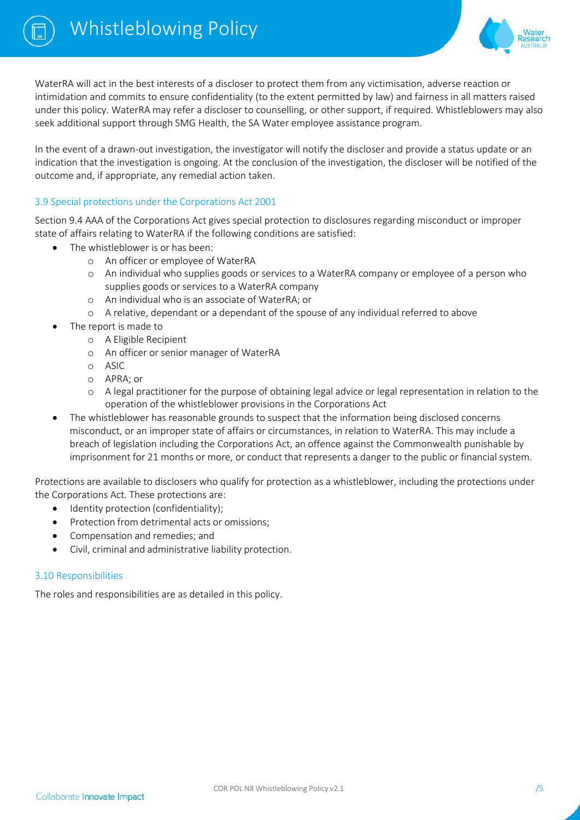

WaterRA will act in the best interests of a discloser to protect them from any victimisation, adverse reaction or intimidation and commits to ensure confidentiality (to the extent permitted by law) and fairness in all matters raised under this policy. WaterRA may refer a discloser to counselling, or other support, if required. Whistleblowers may also seek additional support through SMG Health, the SA Water employee assistance program.

In the event of a drawn-out investigation, the investigator will notify the discloser and provide a status update or an indication that the investigation is ongoing. At the conclusion of the investigation, the discloser will be notified of the outcome and, if appropriate, any remedial action taken.

## 3.9 Special protections under the Corporations Act 2001

Section 9.4 AAA of the Corporations Act gives special protection to disclosures regarding misconduct or improper state of affairs relating to WaterRA if the following conditions are satisfied:

- The whistleblower is or has been:
	- o An officer or employee of WaterRA
	- o An individual who supplies goods or services to a WaterRA company or employee of a person who supplies goods or services to a WaterRA company
	- o An individual who is an associate of WaterRA; or
	- o A relative, dependant or a dependant of the spouse of any individual referred to above
- The report is made to
	- o A Eligible Recipient
	- o An officer or senior manager of WaterRA
	- o ASIC
	- o APRA; or
	- o A legal practitioner for the purpose of obtaining legal advice or legal representation in relation to the operation of the whistleblower provisions in the Corporations Act
- The whistleblower has reasonable grounds to suspect that the information being disclosed concerns misconduct, or an improper state of affairs or circumstances, in relation to WaterRA. This may include a breach of legislation including the Corporations Act, an offence against the Commonwealth punishable by imprisonment for 21 months or more, or conduct that represents a danger to the public or financial system.

Protections are available to disclosers who qualify for protection as a whistleblower, including the protections under the Corporations Act. These protections are:

- Identity protection (confidentiality);
- Protection from detrimental acts or omissions;
- Compensation and remedies; and
- Civil, criminal and administrative liability protection.

#### 3.10 Responsibilities

The roles and responsibilities are as detailed in this policy.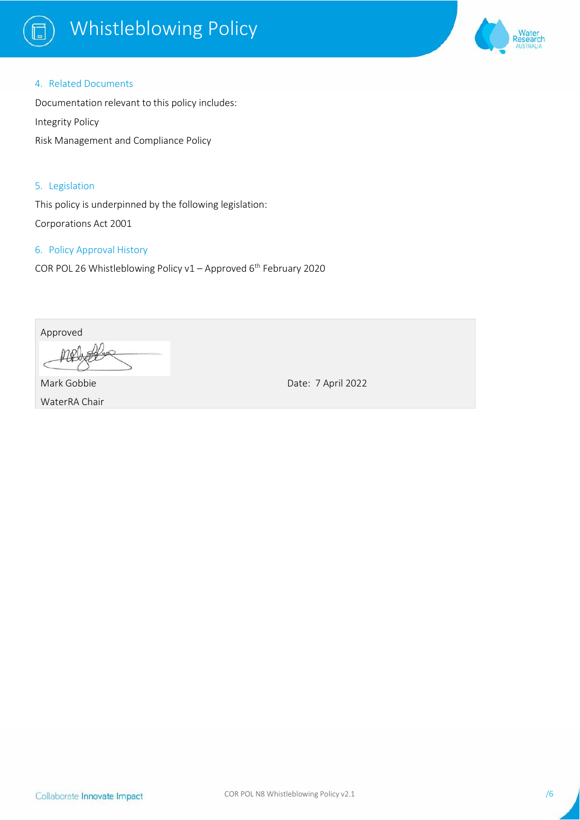

# Whistleblowing Policy



#### 4. Related Documents

Documentation relevant to this policy includes: Integrity Policy

Risk Management and Compliance Policy

5. Legislation

This policy is underpinned by the following legislation: Corporations Act 2001

# 6. Policy Approval History

COR POL 26 Whistleblowing Policy v1 - Approved 6<sup>th</sup> February 2020

Approved

Mark Gobbie WaterRA Chair Date: 7 April 2022